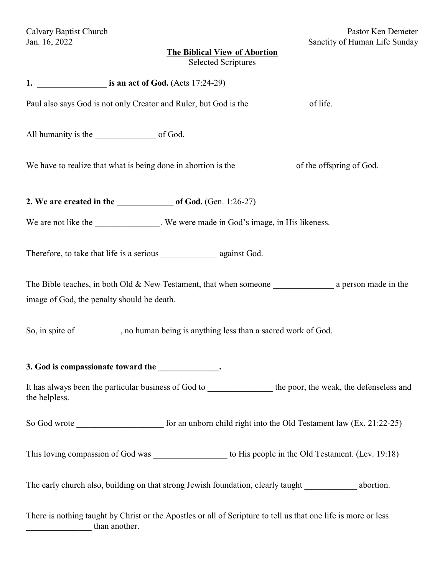# **The Biblical View of Abortion**

|  | <b>Selected Scriptures</b> |
|--|----------------------------|
|--|----------------------------|

| Paul also says God is not only Creator and Ruler, but God is the ________________ of life.                                      |
|---------------------------------------------------------------------------------------------------------------------------------|
|                                                                                                                                 |
|                                                                                                                                 |
|                                                                                                                                 |
| We are not like the ______________. We were made in God's image, in His likeness.                                               |
|                                                                                                                                 |
| The Bible teaches, in both Old & New Testament, that when someone $\_\_\_\_\_\_a$ a person made in the                          |
| image of God, the penalty should be death.                                                                                      |
| So, in spite of _________, no human being is anything less than a sacred work of God.                                           |
| 3. God is compassionate toward the _____________.                                                                               |
| It has always been the particular business of God to<br>the poor, the weak, the defenseless and<br>the helpless.                |
|                                                                                                                                 |
| This loving compassion of God was ______________________ to His people in the Old Testament. (Lev. 19:18)                       |
| The early church also, building on that strong Jewish foundation, clearly taught ____________ abortion.                         |
| There is nothing taught by Christ or the Apostles or all of Scripture to tell us that one life is more or less<br>than another. |